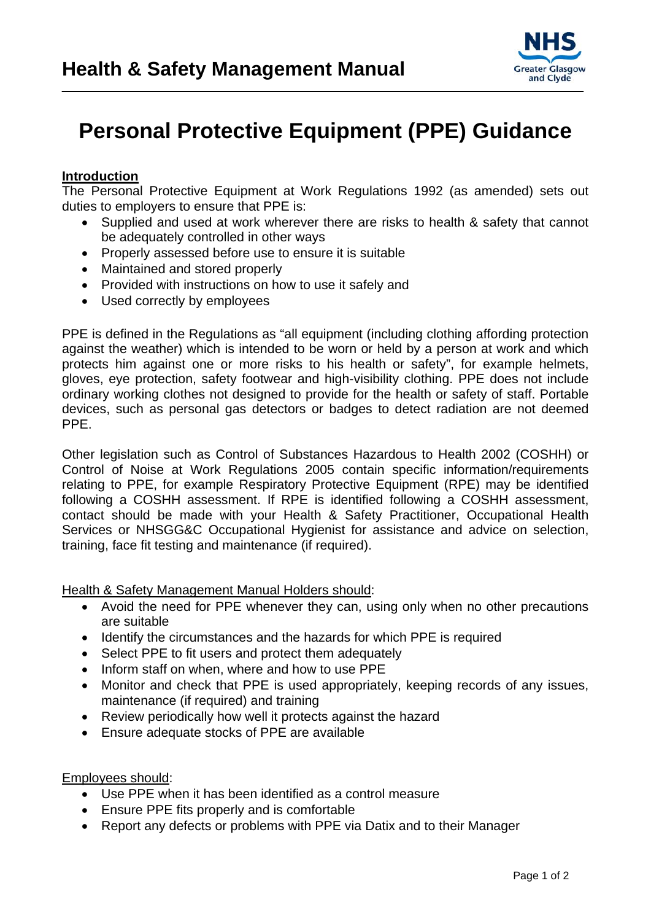

## **Personal Protective Equipment (PPE) Guidance**

## **Introduction**

The Personal Protective Equipment at Work Regulations 1992 (as amended) sets out duties to employers to ensure that PPE is:

- Supplied and used at work wherever there are risks to health & safety that cannot be adequately controlled in other ways
- Properly assessed before use to ensure it is suitable
- Maintained and stored properly
- Provided with instructions on how to use it safely and
- Used correctly by employees

PPE is defined in the Regulations as "all equipment (including clothing affording protection against the weather) which is intended to be worn or held by a person at work and which protects him against one or more risks to his health or safety", for example helmets, gloves, eye protection, safety footwear and high-visibility clothing. PPE does not include ordinary working clothes not designed to provide for the health or safety of staff. Portable devices, such as personal gas detectors or badges to detect radiation are not deemed PPE.

Other legislation such as Control of Substances Hazardous to Health 2002 (COSHH) or Control of Noise at Work Regulations 2005 contain specific information/requirements relating to PPE, for example Respiratory Protective Equipment (RPE) may be identified following a COSHH assessment. If RPE is identified following a COSHH assessment, contact should be made with your Health & Safety Practitioner, Occupational Health Services or NHSGG&C Occupational Hygienist for assistance and advice on selection, training, face fit testing and maintenance (if required).

Health & Safety Management Manual Holders should:

- Avoid the need for PPE whenever they can, using only when no other precautions are suitable
- Identify the circumstances and the hazards for which PPE is required
- Select PPE to fit users and protect them adequately
- Inform staff on when, where and how to use PPE
- Monitor and check that PPE is used appropriately, keeping records of any issues, maintenance (if required) and training
- Review periodically how well it protects against the hazard
- Ensure adequate stocks of PPE are available

Employees should:

- Use PPE when it has been identified as a control measure
- Ensure PPE fits properly and is comfortable
- Report any defects or problems with PPE via Datix and to their Manager